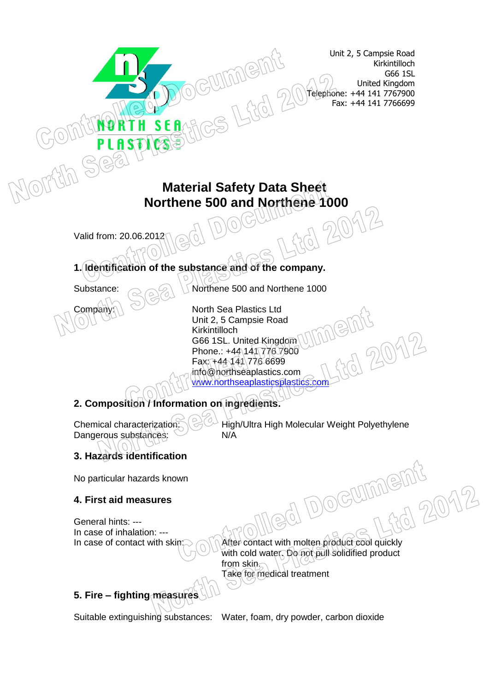Unit 2, 5 Campsie Road Kirkintilloch G66 1SL United Kingdom Telephone: +44 141 7767900 Fax: +44 141 7766699

# **Material Safety Data Sheet Northene 500 and Northene 1000**<br>2012North DOGWILLER COMM<sup>2</sup>

me

Valid from: 20.06.2012

## **1. Identification of the substance and of the company.**

Substance:  $\bigcirc$  Northene 500 and Northene 1000

Company: **North Sea Plastics Ltd** Unit 2, 5 Campsie Road Kirkintilloch G66 1SL. United Kingdom Phone.: +44\141\776\7900 Fax: +44 141 776 6699 info@northseaplastics.com [www.northseaplasticsplastics.com](http://www.northseaplasticsplastics.com/)

# **2. Composition / Information on ingredients.**

Chemical characterization:  $\mathbb{R}^{\mathbb{C}^{\mathbb{Z}}}$  High/Ultra High Molecular Weight Polyethylene Dangerous substances: N/A

OCUI

2012

# **3. Hazards identification**

No particular hazards known

#### **4. First aid measures**

General hints: --- In case of inhalation: ---

In case of contact with skin:  $\bigcirc$   $\bigcirc$  After contact with molten product cool quickly with cold water. Do not pull solidified product from skin. Take for medical treatment

## **5. Fire – fighting measures**

Suitable extinguishing substances: Water, foam, dry powder, carbon dioxide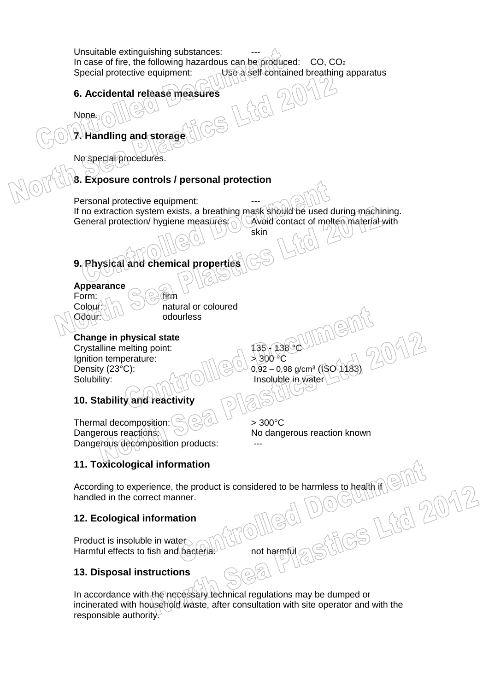Unsuitable extinguishing substances: In case of fire, the following hazardous can be produced:  $CO$ ,  $CO<sub>2</sub>$ <br>Special protective equipment:  $CO<sub>3</sub>$  Use a self-contained breathing: Use a self contained breathing apparatus

#### **6. Accidental release measures**

**7. Handling and storage**

No special procedures.

None.

#### **8. Exposure controls / personal protection**

Personal protective equipment: If no extraction system exists, a breathing mask should be used during machining.<br>General protection/ hygiene measures: Algebraic contact of molten material with General protection/ hygiene measures.

skin

# **9. Physical and chemical properties**

#### **Appearance**

Form:  $\sim$   $\ll$   $\approx$  firm  $O \frac{\log(r \cdot \log n)}{n}$  odourless

Colour:  $\leq$   $\leq$  natural or coloured

**Change in physical state** Crystalline melting point:<br>
lanition temperature:<br>  $\begin{array}{cc} \begin{array}{c} \text{(135)} \\ \text{(136)} \\ \text{(200)} \\ \text{(130)} \\ \text{(200)} \\ \text{(200)} \\ \text{(200)} \\ \text{(200)} \\ \text{(200)} \\ \text{(200)} \\ \text{(200)} \\ \text{(200)} \\ \text{(200)} \\ \text{(200)} \\ \text{(200)} \\ \text{(200)} \\ \text{(200)} \\ \text{(200)} \\ \text{(200)} \\ \text{(2$ Ignition temperature:  $S$ olubility:  $\bigcup_{\alpha \in \mathcal{A}} \mathcal{U}^{\alpha}(\mathcal{O}) \cup \mathcal{V}$  Insoluble in water

Density (23°C):  $\bigcup_{0.92 - 0.98} 0.92 - 0.98$  g/cm<sup>3</sup> (ISO 1183)

## **10. Stability and reactivity**

Thermal decomposition:  $\left(\frac{1}{2}\right)$  > 300°C Dangerous reactions:  $\setminus$   $\setminus$   $\setminus$  No dangerous reaction known Dangerous decomposition products:

FO 2012

## **11. Toxicological information**

According to experience, the product is considered to be harmless to health if handled in the correct manner.

#### **12. Ecological information**

Product is insoluble in water Harmful effects to fish and bacteria: not harmful

#### **13. Disposal instructions**

In accordance with the necessary technical regulations may be dumped or incinerated with household waste, after consultation with site operator and with the responsible authority.